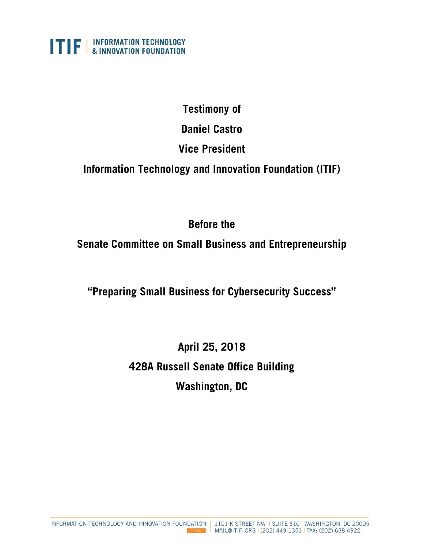

# **Testimony of**

**Daniel Castro**

# **Vice President**

**Information Technology and Innovation Foundation (ITIF)**

# **Before the**

**Senate Committee on Small Business and Entrepreneurship**

**"Preparing Small Business for Cybersecurity Success"**

**April 25, 2018 428A Russell Senate Office Building Washington, DC**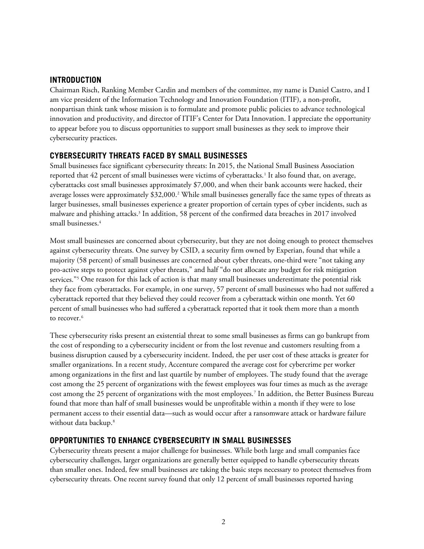## **INTRODUCTION**

Chairman Risch, Ranking Member Cardin and members of the committee, my name is Daniel Castro, and I am vice president of the Information Technology and Innovation Foundation (ITIF), a non-profit, nonpartisan think tank whose mission is to formulate and promote public policies to advance technological innovation and productivity, and director of ITIF's Center for Data Innovation. I appreciate the opportunity to appear before you to discuss opportunities to support small businesses as they seek to improve their cybersecurity practices.

# **CYBERSECURITY THREATS FACED BY SMALL BUSINESSES**

Small businesses face significant cybersecurity threats: In 2015, the National Small Business Association reported that 42 percent of small businesses were victims of cyberattacks.[1](#page-6-0) It also found that, on average, cyberattacks cost small businesses approximately \$7,000, and when their bank accounts were hacked, their average losses were approximately \$3[2](#page-6-1),000.<sup>2</sup> While small businesses generally face the same types of threats as larger businesses, small businesses experience a greater proportion of certain types of cyber incidents, such as malware and phishing attacks.<sup>[3](#page-6-2)</sup> In addition, 58 percent of the confirmed data breaches in 2017 involved small businesses.<sup>[4](#page-6-3)</sup>

Most small businesses are concerned about cybersecurity, but they are not doing enough to protect themselves against cybersecurity threats. One survey by CSID, a security firm owned by Experian, found that while a majority (58 percent) of small businesses are concerned about cyber threats, one-third were "not taking any pro-active steps to protect against cyber threats," and half "do not allocate any budget for risk mitigation services."[5](#page-6-4) One reason for this lack of action is that many small businesses underestimate the potential risk they face from cyberattacks. For example, in one survey, 57 percent of small businesses who had not suffered a cyberattack reported that they believed they could recover from a cyberattack within one month. Yet 60 percent of small businesses who had suffered a cyberattack reported that it took them more than a month to recover.<sup>[6](#page-6-5)</sup>

These cybersecurity risks present an existential threat to some small businesses as firms can go bankrupt from the cost of responding to a cybersecurity incident or from the lost revenue and customers resulting from a business disruption caused by a cybersecurity incident. Indeed, the per user cost of these attacks is greater for smaller organizations. In a recent study, Accenture compared the average cost for cybercrime per worker among organizations in the first and last quartile by number of employees. The study found that the average cost among the 25 percent of organizations with the fewest employees was four times as much as the average cost among the 25 percent of organizations with the most employees.[7](#page-6-6) In addition, the Better Business Bureau found that more than half of small businesses would be unprofitable within a month if they were to lose permanent access to their essential data—such as would occur after a ransomware attack or hardware failure without data backup. [8](#page-6-7)

## **OPPORTUNITIES TO ENHANCE CYBERSECURITY IN SMALL BUSINESSES**

Cybersecurity threats present a major challenge for businesses. While both large and small companies face cybersecurity challenges, larger organizations are generally better equipped to handle cybersecurity threats than smaller ones. Indeed, few small businesses are taking the basic steps necessary to protect themselves from cybersecurity threats. One recent survey found that only 12 percent of small businesses reported having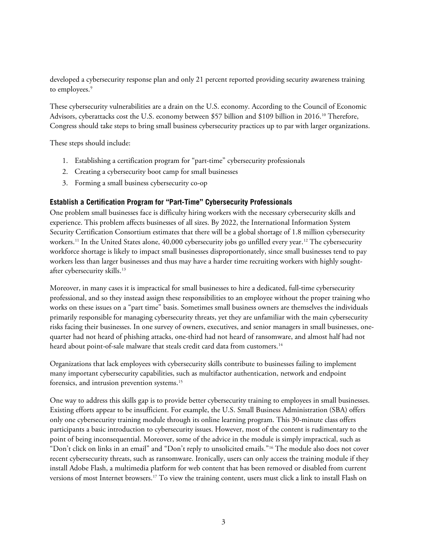developed a cybersecurity response plan and only 21 percent reported providing security awareness training to employees.<sup>9</sup>

These cybersecurity vulnerabilities are a drain on the U.S. economy. According to the Council of Economic Advisors, cyberattacks cost the U.S. economy between \$57 billion and \$[10](#page-6-9)9 billion in 2016.<sup>10</sup> Therefore, Congress should take steps to bring small business cybersecurity practices up to par with larger organizations.

These steps should include:

- 1. Establishing a certification program for "part-time" cybersecurity professionals
- 2. Creating a cybersecurity boot camp for small businesses
- 3. Forming a small business cybersecurity co-op

## **Establish a Certification Program for "Part-Time" Cybersecurity Professionals**

One problem small businesses face is difficulty hiring workers with the necessary cybersecurity skills and experience. This problem affects businesses of all sizes. By 2022, the International Information System Security Certification Consortium estimates that there will be a global shortage of 1.8 million cybersecurity workers.[11](#page-6-10) In the United States alone, 40,000 cybersecurity jobs go unfilled every year. [12](#page-6-11) The cybersecurity workforce shortage is likely to impact small businesses disproportionately, since small businesses tend to pay workers less than larger businesses and thus may have a harder time recruiting workers with highly soughtafter cybersecurity skills.[13](#page-6-12)

Moreover, in many cases it is impractical for small businesses to hire a dedicated, full-time cybersecurity professional, and so they instead assign these responsibilities to an employee without the proper training who works on these issues on a "part time" basis. Sometimes small business owners are themselves the individuals primarily responsible for managing cybersecurity threats, yet they are unfamiliar with the main cybersecurity risks facing their businesses. In one survey of owners, executives, and senior managers in small businesses, onequarter had not heard of phishing attacks, one-third had not heard of ransomware, and almost half had not heard about point-of-sale malware that steals credit card data from customers.<sup>[14](#page-6-13)</sup>

Organizations that lack employees with cybersecurity skills contribute to businesses failing to implement many important cybersecurity capabilities, such as multifactor authentication, network and endpoint forensics, and intrusion prevention systems.[15](#page-6-14)

One way to address this skills gap is to provide better cybersecurity training to employees in small businesses. Existing efforts appear to be insufficient. For example, the U.S. Small Business Administration (SBA) offers only one cybersecurity training module through its online learning program. This 30-minute class offers participants a basic introduction to cybersecurity issues. However, most of the content is rudimentary to the point of being inconsequential. Moreover, some of the advice in the module is simply impractical, such as "Don't click on links in an email" and "Don't reply to unsolicited emails."[16](#page-6-15) The module also does not cover recent cybersecurity threats, such as ransomware. Ironically, users can only access the training module if they install Adobe Flash, a multimedia platform for web content that has been removed or disabled from current versions of most Internet browsers.<sup>[17](#page-7-0)</sup> To view the training content, users must click a link to install Flash on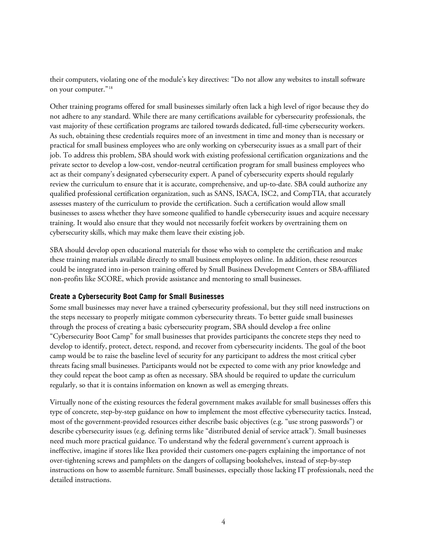their computers, violating one of the module's key directives: "Do not allow any websites to install software on your computer."[18](#page-7-1)

Other training programs offered for small businesses similarly often lack a high level of rigor because they do not adhere to any standard. While there are many certifications available for cybersecurity professionals, the vast majority of these certification programs are tailored towards dedicated, full-time cybersecurity workers. As such, obtaining these credentials requires more of an investment in time and money than is necessary or practical for small business employees who are only working on cybersecurity issues as a small part of their job. To address this problem, SBA should work with existing professional certification organizations and the private sector to develop a low-cost, vendor-neutral certification program for small business employees who act as their company's designated cybersecurity expert. A panel of cybersecurity experts should regularly review the curriculum to ensure that it is accurate, comprehensive, and up-to-date. SBA could authorize any qualified professional certification organization, such as SANS, ISACA, ISC2, and CompTIA, that accurately assesses mastery of the curriculum to provide the certification. Such a certification would allow small businesses to assess whether they have someone qualified to handle cybersecurity issues and acquire necessary training. It would also ensure that they would not necessarily forfeit workers by overtraining them on cybersecurity skills, which may make them leave their existing job.

SBA should develop open educational materials for those who wish to complete the certification and make these training materials available directly to small business employees online. In addition, these resources could be integrated into in-person training offered by Small Business Development Centers or SBA-affiliated non-profits like SCORE, which provide assistance and mentoring to small businesses.

### **Create a Cybersecurity Boot Camp for Small Businesses**

Some small businesses may never have a trained cybersecurity professional, but they still need instructions on the steps necessary to properly mitigate common cybersecurity threats. To better guide small businesses through the process of creating a basic cybersecurity program, SBA should develop a free online "Cybersecurity Boot Camp" for small businesses that provides participants the concrete steps they need to develop to identify, protect, detect, respond, and recover from cybersecurity incidents. The goal of the boot camp would be to raise the baseline level of security for any participant to address the most critical cyber threats facing small businesses. Participants would not be expected to come with any prior knowledge and they could repeat the boot camp as often as necessary. SBA should be required to update the curriculum regularly, so that it is contains information on known as well as emerging threats.

Virtually none of the existing resources the federal government makes available for small businesses offers this type of concrete, step-by-step guidance on how to implement the most effective cybersecurity tactics. Instead, most of the government-provided resources either describe basic objectives (e.g. "use strong passwords") or describe cybersecurity issues (e.g. defining terms like "distributed denial of service attack"). Small businesses need much more practical guidance. To understand why the federal government's current approach is ineffective, imagine if stores like Ikea provided their customers one-pagers explaining the importance of not over-tightening screws and pamphlets on the dangers of collapsing bookshelves, instead of step-by-step instructions on how to assemble furniture. Small businesses, especially those lacking IT professionals, need the detailed instructions.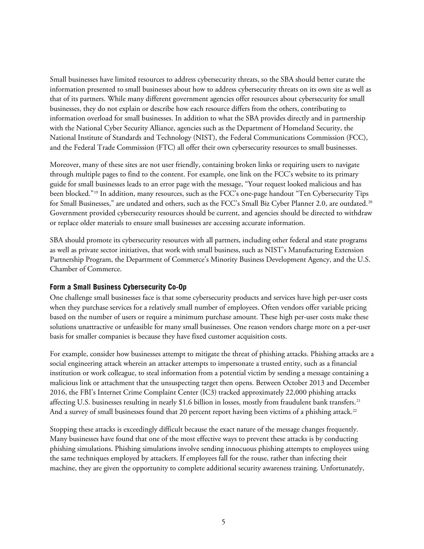Small businesses have limited resources to address cybersecurity threats, so the SBA should better curate the information presented to small businesses about how to address cybersecurity threats on its own site as well as that of its partners. While many different government agencies offer resources about cybersecurity for small businesses, they do not explain or describe how each resource differs from the others, contributing to information overload for small businesses. In addition to what the SBA provides directly and in partnership with the National Cyber Security Alliance, agencies such as the Department of Homeland Security, the National Institute of Standards and Technology (NIST), the Federal Communications Commission (FCC), and the Federal Trade Commission (FTC) all offer their own cybersecurity resources to small businesses.

Moreover, many of these sites are not user friendly, containing broken links or requiring users to navigate through multiple pages to find to the content. For example, one link on the FCC's website to its primary guide for small businesses leads to an error page with the message, "Your request looked malicious and has been blocked."[19](#page-7-2) In addition, many resources, such as the FCC's one-page handout "Ten Cybersecurity Tips for Small Businesses," are undated and others, such as the FCC's Small Biz Cyber Planner 2.0, are outdated. [20](#page-7-3) Government provided cybersecurity resources should be current, and agencies should be directed to withdraw or replace older materials to ensure small businesses are accessing accurate information.

SBA should promote its cybersecurity resources with all partners, including other federal and state programs as well as private sector initiatives, that work with small business, such as NIST's Manufacturing Extension Partnership Program, the Department of Commerce's Minority Business Development Agency, and the U.S. Chamber of Commerce.

### **Form a Small Business Cybersecurity Co-Op**

One challenge small businesses face is that some cybersecurity products and services have high per-user costs when they purchase services for a relatively small number of employees. Often vendors offer variable pricing based on the number of users or require a minimum purchase amount. These high per-user costs make these solutions unattractive or unfeasible for many small businesses. One reason vendors charge more on a per-user basis for smaller companies is because they have fixed customer acquisition costs.

For example, consider how businesses attempt to mitigate the threat of phishing attacks. Phishing attacks are a social engineering attack wherein an attacker attempts to impersonate a trusted entity, such as a financial institution or work colleague, to steal information from a potential victim by sending a message containing a malicious link or attachment that the unsuspecting target then opens. Between October 2013 and December 2016, the FBI's Internet Crime Complaint Center (IC3) tracked approximately 22,000 phishing attacks affecting U.S. businesses resulting in nearly \$1.6 billion in losses, mostly from fraudulent bank transfers.<sup>[21](#page-7-4)</sup> And a survey of small businesses found that 20 percent report having been victims of a phishing attack.<sup>[22](#page-7-5)</sup>

Stopping these attacks is exceedingly difficult because the exact nature of the message changes frequently. Many businesses have found that one of the most effective ways to prevent these attacks is by conducting phishing simulations. Phishing simulations involve sending innocuous phishing attempts to employees using the same techniques employed by attackers. If employees fall for the rouse, rather than infecting their machine, they are given the opportunity to complete additional security awareness training. Unfortunately,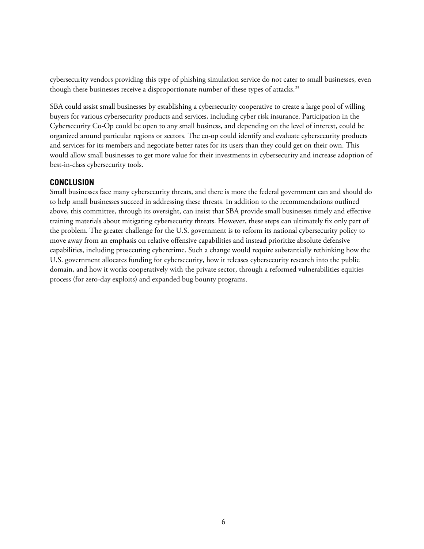cybersecurity vendors providing this type of phishing simulation service do not cater to small businesses, even though these businesses receive a disproportionate number of these types of attacks.<sup>[23](#page-7-6)</sup>

SBA could assist small businesses by establishing a cybersecurity cooperative to create a large pool of willing buyers for various cybersecurity products and services, including cyber risk insurance. Participation in the Cybersecurity Co-Op could be open to any small business, and depending on the level of interest, could be organized around particular regions or sectors. The co-op could identify and evaluate cybersecurity products and services for its members and negotiate better rates for its users than they could get on their own. This would allow small businesses to get more value for their investments in cybersecurity and increase adoption of best-in-class cybersecurity tools.

### **CONCLUSION**

Small businesses face many cybersecurity threats, and there is more the federal government can and should do to help small businesses succeed in addressing these threats. In addition to the recommendations outlined above, this committee, through its oversight, can insist that SBA provide small businesses timely and effective training materials about mitigating cybersecurity threats. However, these steps can ultimately fix only part of the problem. The greater challenge for the U.S. government is to reform its national cybersecurity policy to move away from an emphasis on relative offensive capabilities and instead prioritize absolute defensive capabilities, including prosecuting cybercrime. Such a change would require substantially rethinking how the U.S. government allocates funding for cybersecurity, how it releases cybersecurity research into the public domain, and how it works cooperatively with the private sector, through a reformed vulnerabilities equities process (for zero-day exploits) and expanded bug bounty programs.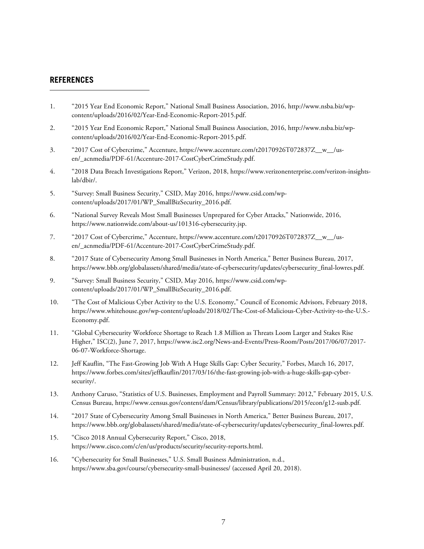### **REFERENCES**

1

- <span id="page-6-0"></span>1. "2015 Year End Economic Report," National Small Business Association, 2016[, http://www.nsba.biz/wp](http://www.nsba.biz/wp-content/uploads/2016/02/Year-End-Economic-Report-2015.pdf)[content/uploads/2016/02/Year-End-Economic-Report-2015.pdf.](http://www.nsba.biz/wp-content/uploads/2016/02/Year-End-Economic-Report-2015.pdf)
- <span id="page-6-1"></span>2. "2015 Year End Economic Report," National Small Business Association, 2016[, http://www.nsba.biz/wp](http://www.nsba.biz/wp-content/uploads/2016/02/Year-End-Economic-Report-2015.pdf)[content/uploads/2016/02/Year-End-Economic-Report-2015.pdf.](http://www.nsba.biz/wp-content/uploads/2016/02/Year-End-Economic-Report-2015.pdf)
- <span id="page-6-2"></span>3. "2017 Cost of Cybercrime," Accenture, https://www.accenture.com/t20170926T072837Z\_w\_/us[en/\\_acnmedia/PDF-61/Accenture-2017-CostCyberCrimeStudy.pdf.](https://www.accenture.com/t20170926T072837Z__w__/us-en/_acnmedia/PDF-61/Accenture-2017-CostCyberCrimeStudy.pdf)
- <span id="page-6-3"></span>4. "2018 Data Breach Investigations Report," Verizon, 2018, https://www.verizonenterprise.com/verizon-insightslab/dbir/.
- <span id="page-6-4"></span>5. "Survey: Small Business Security," CSID, May 2016, [https://www.csid.com/wp](https://www.csid.com/wp-content/uploads/2017/01/WP_SmallBizSecurity_2016.pdf)[content/uploads/2017/01/WP\\_SmallBizSecurity\\_2016.pdf.](https://www.csid.com/wp-content/uploads/2017/01/WP_SmallBizSecurity_2016.pdf)
- <span id="page-6-5"></span>6. "National Survey Reveals Most Small Businesses Unprepared for Cyber Attacks," Nationwide, 2016, [https://www.nationwide.com/about-us/101316-cybersecurity.jsp.](https://www.nationwide.com/about-us/101316-cybersecurity.jsp)
- <span id="page-6-6"></span>7. "2017 Cost of Cybercrime," Accenture, [https://www.accenture.com/t20170926T072837Z\\_\\_w\\_\\_/us](https://www.accenture.com/t20170926T072837Z__w__/us-en/_acnmedia/PDF-61/Accenture-2017-CostCyberCrimeStudy.pdf)[en/\\_acnmedia/PDF-61/Accenture-2017-CostCyberCrimeStudy.pdf.](https://www.accenture.com/t20170926T072837Z__w__/us-en/_acnmedia/PDF-61/Accenture-2017-CostCyberCrimeStudy.pdf)
- <span id="page-6-7"></span>8. "2017 State of Cybersecurity Among Small Businesses in North America," Better Business Bureau, 2017, https://www.bbb.org/globalassets/shared/media/state-of-cybersecurity/updates/cybersecurity\_final-lowres.pdf.
- <span id="page-6-8"></span>9. "Survey: Small Business Security," CSID, May 2016, [https://www.csid.com/wp](https://www.csid.com/wp-content/uploads/2017/01/WP_SmallBizSecurity_2016.pdf)[content/uploads/2017/01/WP\\_SmallBizSecurity\\_2016.pdf.](https://www.csid.com/wp-content/uploads/2017/01/WP_SmallBizSecurity_2016.pdf)
- <span id="page-6-9"></span>10. "The Cost of Malicious Cyber Activity to the U.S. Economy," Council of Economic Advisors, February 2018, [https://www.whitehouse.gov/wp-content/uploads/2018/02/The-Cost-of-Malicious-Cyber-Activity-to-the-U.S.-](https://www.whitehouse.gov/wp-content/uploads/2018/02/The-Cost-of-Malicious-Cyber-Activity-to-the-U.S.-Economy.pdf) [Economy.pdf.](https://www.whitehouse.gov/wp-content/uploads/2018/02/The-Cost-of-Malicious-Cyber-Activity-to-the-U.S.-Economy.pdf)
- <span id="page-6-10"></span>11. "Global Cybersecurity Workforce Shortage to Reach 1.8 Million as Threats Loom Larger and Stakes Rise Higher," ISC(2), June 7, 2017, [https://www.isc2.org/News-and-Events/Press-Room/Posts/2017/06/07/2017-](https://www.isc2.org/News-and-Events/Press-Room/Posts/2017/06/07/2017-06-07-Workforce-Shortage) [06-07-Workforce-Shortage.](https://www.isc2.org/News-and-Events/Press-Room/Posts/2017/06/07/2017-06-07-Workforce-Shortage)
- <span id="page-6-11"></span>12. Jeff Kauflin, "The Fast-Growing Job With A Huge Skills Gap: Cyber Security," Forbes, March 16, 2017, [https://www.forbes.com/sites/jeffkauflin/2017/03/16/the-fast-growing-job-with-a-huge-skills-gap-cyber](https://www.forbes.com/sites/jeffkauflin/2017/03/16/the-fast-growing-job-with-a-huge-skills-gap-cyber-security/)[security/.](https://www.forbes.com/sites/jeffkauflin/2017/03/16/the-fast-growing-job-with-a-huge-skills-gap-cyber-security/)
- <span id="page-6-12"></span>13. Anthony Caruso, "Statistics of U.S. Businesses, Employment and Payroll Summary: 2012," February 2015, U.S. Census Bureau, [https://www.census.gov/content/dam/Census/library/publications/2015/econ/g12-susb.pdf.](https://www.census.gov/content/dam/Census/library/publications/2015/econ/g12-susb.pdf)
- <span id="page-6-13"></span>14. "2017 State of Cybersecurity Among Small Businesses in North America," Better Business Bureau, 2017, [https://www.bbb.org/globalassets/shared/media/state-of-cybersecurity/updates/cybersecurity\\_final-lowres.pdf.](https://www.bbb.org/globalassets/shared/media/state-of-cybersecurity/updates/cybersecurity_final-lowres.pdf)
- <span id="page-6-14"></span>15. "Cisco 2018 Annual Cybersecurity Report," Cisco, 2018, [https://www.cisco.com/c/en/us/products/security/security-reports.html.](https://www.cisco.com/c/en/us/products/security/security-reports.html)
- <span id="page-6-15"></span>16. "Cybersecurity for Small Businesses," U.S. Small Business Administration, n.d., <https://www.sba.gov/course/cybersecurity-small-businesses/> (accessed April 20, 2018).